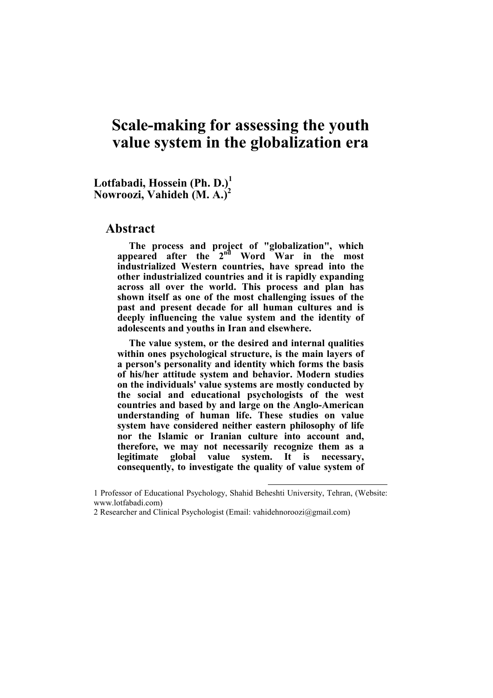# **Scale-making for assessing the youth value system in the globalization era**

**Lotfabadi, Hossein (Ph. D.)<sup>1</sup> Nowroozi, Vahideh (M. A.)<sup>2</sup>**

#### **Abstract**

**The process and project of "globalization", which appeared after the 2nd Word War in the most industrialized Western countries, have spread into the other industrialized countries and it is rapidly expanding across all over the world. This process and plan has shown itself as one of the most challenging issues of the past and present decade for all human cultures and is deeply influencing the value system and the identity of adolescents and youths in Iran and elsewhere.** 

**The value system, or the desired and internal qualities within ones psychological structure, is the main layers of a person's personality and identity which forms the basis of his/her attitude system and behavior. Modern studies on the individuals' value systems are mostly conducted by the social and educational psychologists of the west countries and based by and large on the Anglo-American understanding of human life. These studies on value system have considered neither eastern philosophy of life nor the Islamic or Iranian culture into account and, therefore, we may not necessarily recognize them as a legitimate global value system. It is necessary, consequently, to investigate the quality of value system of** 

 $\overline{a}$ 

<sup>1</sup> Professor of Educational Psychology, Shahid Beheshti University, Tehran, (Website: www.lotfabadi.com)

<sup>2</sup> Researcher and Clinical Psychologist (Email: vahidehnoroozi@gmail.com)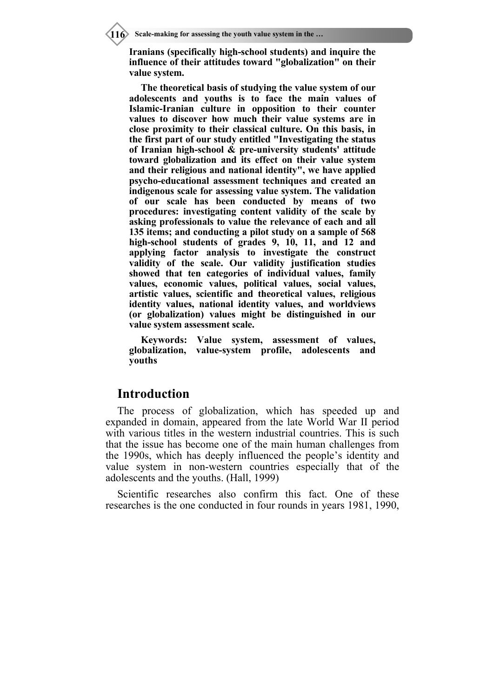**Iranians (specifically high-school students) and inquire the influence of their attitudes toward "globalization" on their value system.** 

**The theoretical basis of studying the value system of our adolescents and youths is to face the main values of Islamic-Iranian culture in opposition to their counter values to discover how much their value systems are in close proximity to their classical culture. On this basis, in the first part of our study entitled "Investigating the status of Iranian high-school & pre-university students' attitude toward globalization and its effect on their value system and their religious and national identity", we have applied psycho-educational assessment techniques and created an indigenous scale for assessing value system. The validation of our scale has been conducted by means of two procedures: investigating content validity of the scale by asking professionals to value the relevance of each and all 135 items; and conducting a pilot study on a sample of 568 high-school students of grades 9, 10, 11, and 12 and applying factor analysis to investigate the construct validity of the scale. Our validity justification studies showed that ten categories of individual values, family values, economic values, political values, social values, artistic values, scientific and theoretical values, religious identity values, national identity values, and worldviews (or globalization) values might be distinguished in our value system assessment scale.** 

**Keywords: Value system, assessment of values, globalization, value-system profile, adolescents and youths** 

## **Introduction**

The process of globalization, which has speeded up and expanded in domain, appeared from the late World War II period with various titles in the western industrial countries. This is such that the issue has become one of the main human challenges from the 1990s, which has deeply influenced the people's identity and value system in non-western countries especially that of the adolescents and the youths. (Hall, 1999)

Scientific researches also confirm this fact. One of these researches is the one conducted in four rounds in years 1981, 1990,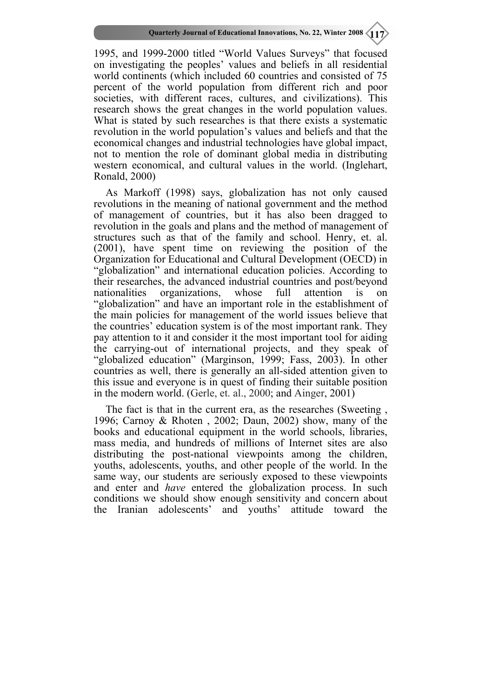1995, and 1999-2000 titled "World Values Surveys" that focused on investigating the peoples' values and beliefs in all residential world continents (which included 60 countries and consisted of 75 percent of the world population from different rich and poor societies, with different races, cultures, and civilizations). This research shows the great changes in the world population values. What is stated by such researches is that there exists a systematic revolution in the world population's values and beliefs and that the economical changes and industrial technologies have global impact, not to mention the role of dominant global media in distributing western economical, and cultural values in the world. (Inglehart, Ronald, 2000)

As Markoff (1998) says, globalization has not only caused revolutions in the meaning of national government and the method of management of countries, but it has also been dragged to revolution in the goals and plans and the method of management of structures such as that of the family and school. Henry, et. al. (2001), have spent time on reviewing the position of the Organization for Educational and Cultural Development (OECD) in "globalization" and international education policies. According to their researches, the advanced industrial countries and post/beyond nationalities organizations, whose full attention is on "globalization" and have an important role in the establishment of the main policies for management of the world issues believe that the countries' education system is of the most important rank. They pay attention to it and consider it the most important tool for aiding the carrying-out of international projects, and they speak of "globalized education" (Marginson, 1999; Fass, 2003). In other countries as well, there is generally an all-sided attention given to this issue and everyone is in quest of finding their suitable position in the modern world. (Gerle, et. al., 2000; and Ainger, 2001)

The fact is that in the current era, as the researches (Sweeting , 1996; Carnoy & Rhoten , 2002; Daun, 2002) show, many of the books and educational equipment in the world schools, libraries, mass media, and hundreds of millions of Internet sites are also distributing the post-national viewpoints among the children, youths, adolescents, youths, and other people of the world. In the same way, our students are seriously exposed to these viewpoints and enter and *have* entered the globalization process. In such conditions we should show enough sensitivity and concern about the Iranian adolescents' and youths' attitude toward the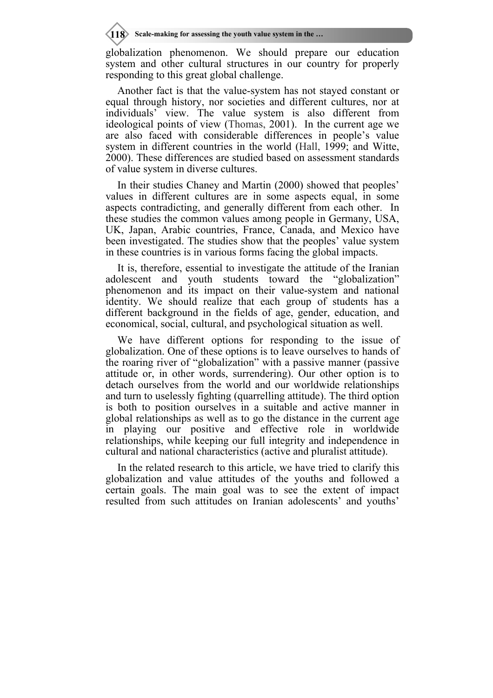globalization phenomenon. We should prepare our education system and other cultural structures in our country for properly responding to this great global challenge.

Another fact is that the value-system has not stayed constant or equal through history, nor societies and different cultures, nor at individuals' view. The value system is also different from ideological points of view (Thomas, 2001). In the current age we are also faced with considerable differences in people's value system in different countries in the world (Hall, 1999; and Witte, 2000). These differences are studied based on assessment standards of value system in diverse cultures.

In their studies Chaney and Martin (2000) showed that peoples' values in different cultures are in some aspects equal, in some aspects contradicting, and generally different from each other. In these studies the common values among people in Germany, USA, UK, Japan, Arabic countries, France, Canada, and Mexico have been investigated. The studies show that the peoples' value system in these countries is in various forms facing the global impacts.

It is, therefore, essential to investigate the attitude of the Iranian adolescent and youth students toward the "globalization" phenomenon and its impact on their value-system and national identity. We should realize that each group of students has a different background in the fields of age, gender, education, and economical, social, cultural, and psychological situation as well.

We have different options for responding to the issue of globalization. One of these options is to leave ourselves to hands of the roaring river of "globalization" with a passive manner (passive attitude or, in other words, surrendering). Our other option is to detach ourselves from the world and our worldwide relationships and turn to uselessly fighting (quarrelling attitude). The third option is both to position ourselves in a suitable and active manner in global relationships as well as to go the distance in the current age in playing our positive and effective role in worldwide relationships, while keeping our full integrity and independence in cultural and national characteristics (active and pluralist attitude).

In the related research to this article, we have tried to clarify this globalization and value attitudes of the youths and followed a certain goals. The main goal was to see the extent of impact resulted from such attitudes on Iranian adolescents' and youths'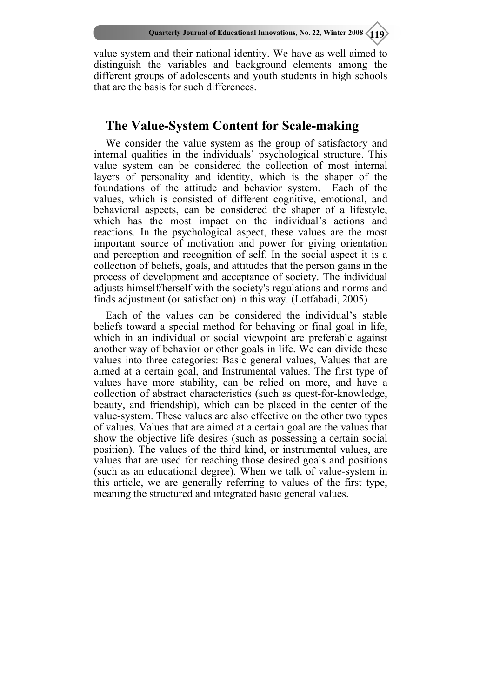value system and their national identity. We have as well aimed to distinguish the variables and background elements among the different groups of adolescents and youth students in high schools that are the basis for such differences.

## **The Value-System Content for Scale-making**

We consider the value system as the group of satisfactory and internal qualities in the individuals' psychological structure. This value system can be considered the collection of most internal layers of personality and identity, which is the shaper of the foundations of the attitude and behavior system. Each of the values, which is consisted of different cognitive, emotional, and behavioral aspects, can be considered the shaper of a lifestyle, which has the most impact on the individual's actions and reactions. In the psychological aspect, these values are the most important source of motivation and power for giving orientation and perception and recognition of self. In the social aspect it is a collection of beliefs, goals, and attitudes that the person gains in the process of development and acceptance of society. The individual adjusts himself/herself with the society's regulations and norms and finds adjustment (or satisfaction) in this way. (Lotfabadi, 2005)

Each of the values can be considered the individual's stable beliefs toward a special method for behaving or final goal in life, which in an individual or social viewpoint are preferable against another way of behavior or other goals in life. We can divide these values into three categories: Basic general values, Values that are aimed at a certain goal, and Instrumental values. The first type of values have more stability, can be relied on more, and have a collection of abstract characteristics (such as quest-for-knowledge, beauty, and friendship), which can be placed in the center of the value-system. These values are also effective on the other two types of values. Values that are aimed at a certain goal are the values that show the objective life desires (such as possessing a certain social position). The values of the third kind, or instrumental values, are values that are used for reaching those desired goals and positions (such as an educational degree). When we talk of value-system in this article, we are generally referring to values of the first type, meaning the structured and integrated basic general values.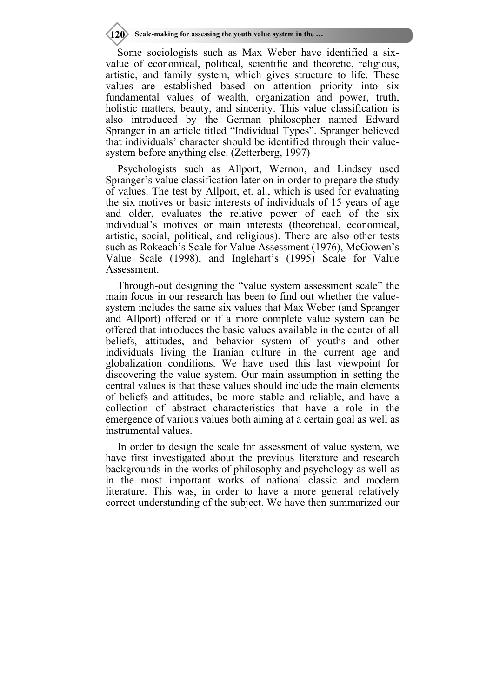**120** Scale-making for assessing the youth value system in the ...

Some sociologists such as Max Weber have identified a sixvalue of economical, political, scientific and theoretic, religious, artistic, and family system, which gives structure to life. These values are established based on attention priority into six fundamental values of wealth, organization and power, truth, holistic matters, beauty, and sincerity. This value classification is also introduced by the German philosopher named Edward Spranger in an article titled "Individual Types". Spranger believed that individuals' character should be identified through their valuesystem before anything else. (Zetterberg, 1997)

Psychologists such as Allport, Wernon, and Lindsey used Spranger's value classification later on in order to prepare the study of values. The test by Allport, et. al., which is used for evaluating the six motives or basic interests of individuals of 15 years of age and older, evaluates the relative power of each of the six individual's motives or main interests (theoretical, economical, artistic, social, political, and religious). There are also other tests such as Rokeach's Scale for Value Assessment (1976), McGowen's Value Scale (1998), and Inglehart's (1995) Scale for Value Assessment.

Through-out designing the "value system assessment scale" the main focus in our research has been to find out whether the valuesystem includes the same six values that Max Weber (and Spranger and Allport) offered or if a more complete value system can be offered that introduces the basic values available in the center of all beliefs, attitudes, and behavior system of youths and other individuals living the Iranian culture in the current age and globalization conditions. We have used this last viewpoint for discovering the value system. Our main assumption in setting the central values is that these values should include the main elements of beliefs and attitudes, be more stable and reliable, and have a collection of abstract characteristics that have a role in the emergence of various values both aiming at a certain goal as well as instrumental values.

In order to design the scale for assessment of value system, we have first investigated about the previous literature and research backgrounds in the works of philosophy and psychology as well as in the most important works of national classic and modern literature. This was, in order to have a more general relatively correct understanding of the subject. We have then summarized our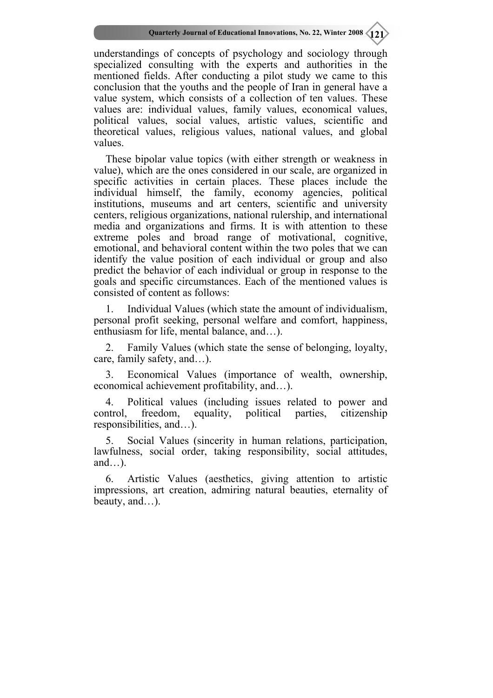understandings of concepts of psychology and sociology through specialized consulting with the experts and authorities in the mentioned fields. After conducting a pilot study we came to this conclusion that the youths and the people of Iran in general have a value system, which consists of a collection of ten values. These values are: individual values, family values, economical values, political values, social values, artistic values, scientific and theoretical values, religious values, national values, and global values.

These bipolar value topics (with either strength or weakness in value), which are the ones considered in our scale, are organized in specific activities in certain places. These places include the individual himself, the family, economy agencies, political institutions, museums and art centers, scientific and university centers, religious organizations, national rulership, and international media and organizations and firms. It is with attention to these extreme poles and broad range of motivational, cognitive, emotional, and behavioral content within the two poles that we can identify the value position of each individual or group and also predict the behavior of each individual or group in response to the goals and specific circumstances. Each of the mentioned values is consisted of content as follows:

1. Individual Values (which state the amount of individualism, personal profit seeking, personal welfare and comfort, happiness, enthusiasm for life, mental balance, and…).

Family Values (which state the sense of belonging, loyalty, care, family safety, and…).

3. Economical Values (importance of wealth, ownership, economical achievement profitability, and…).

4. Political values (including issues related to power and control, freedom, equality, political parties, citizenship responsibilities, and…).

5. Social Values (sincerity in human relations, participation, lawfulness, social order, taking responsibility, social attitudes, and... $)$ .

6. Artistic Values (aesthetics, giving attention to artistic impressions, art creation, admiring natural beauties, eternality of beauty, and…).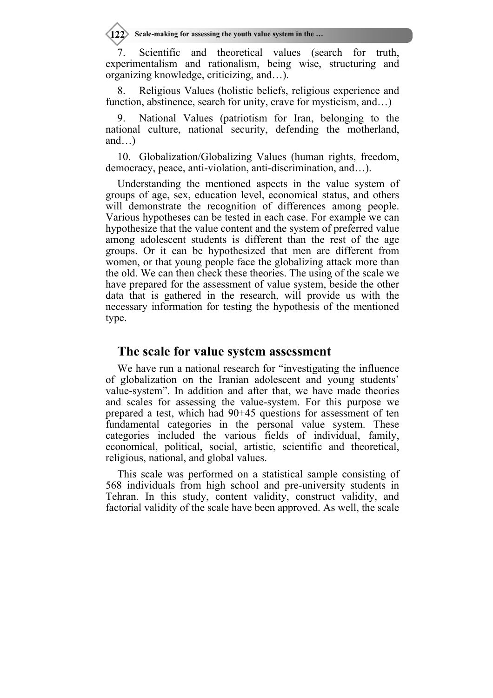Scale-making for assessing the youth value system in the ...

7. Scientific and theoretical values (search for truth, experimentalism and rationalism, being wise, structuring and organizing knowledge, criticizing, and…).

Religious Values (holistic beliefs, religious experience and function, abstinence, search for unity, crave for mysticism, and...)

National Values (patriotism for Iran, belonging to the national culture, national security, defending the motherland, and…)

10. Globalization/Globalizing Values (human rights, freedom, democracy, peace, anti-violation, anti-discrimination, and…).

Understanding the mentioned aspects in the value system of groups of age, sex, education level, economical status, and others will demonstrate the recognition of differences among people. Various hypotheses can be tested in each case. For example we can hypothesize that the value content and the system of preferred value among adolescent students is different than the rest of the age groups. Or it can be hypothesized that men are different from women, or that young people face the globalizing attack more than the old. We can then check these theories. The using of the scale we have prepared for the assessment of value system, beside the other data that is gathered in the research, will provide us with the necessary information for testing the hypothesis of the mentioned type.

#### **The scale for value system assessment**

We have run a national research for "investigating the influence of globalization on the Iranian adolescent and young students' value-system". In addition and after that, we have made theories and scales for assessing the value-system. For this purpose we prepared a test, which had 90+45 questions for assessment of ten fundamental categories in the personal value system. These categories included the various fields of individual, family, economical, political, social, artistic, scientific and theoretical, religious, national, and global values.

This scale was performed on a statistical sample consisting of 568 individuals from high school and pre-university students in Tehran. In this study, content validity, construct validity, and factorial validity of the scale have been approved. As well, the scale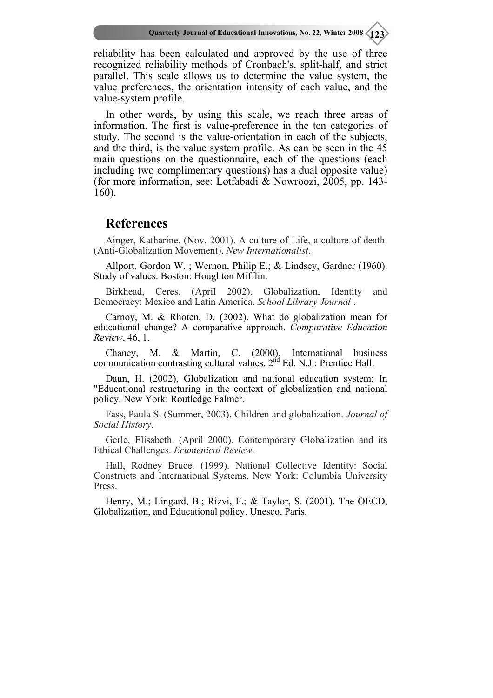reliability has been calculated and approved by the use of three recognized reliability methods of Cronbach's, split-half, and strict parallel. This scale allows us to determine the value system, the value preferences, the orientation intensity of each value, and the value-system profile.

In other words, by using this scale, we reach three areas of information. The first is value-preference in the ten categories of study. The second is the value-orientation in each of the subjects, and the third, is the value system profile. As can be seen in the 45 main questions on the questionnaire, each of the questions (each including two complimentary questions) has a dual opposite value) (for more information, see: Lotfabadi & Nowroozi, 2005, pp. 143- 160).

## **References**

Ainger, Katharine. (Nov. 2001). A culture of Life, a culture of death. (Anti-Globalization Movement). *New Internationalist*.

Allport, Gordon W. ; Wernon, Philip E.; & Lindsey, Gardner (1960). Study of values. Boston: Houghton Mifflin.

Birkhead, Ceres. (April 2002). Globalization, Identity and Democracy: Mexico and Latin America. *School Library Journal* .

Carnoy, M. & Rhoten, D. (2002). What do globalization mean for educational change? A comparative approach. *Comparative Education Review*, 46, 1.

Chaney, M. & Martin, C. (2000). International business communication contrasting cultural values. 2<sup>nd</sup> Ed. N.J.: Prentice Hall.

Daun, H. (2002), Globalization and national education system; In "Educational restructuring in the context of globalization and national policy. New York: Routledge Falmer.

Fass, Paula S. (Summer, 2003). Children and globalization. *Journal of Social History*.

Gerle, Elisabeth. (April 2000). Contemporary Globalization and its Ethical Challenges. *Ecumenical Review*.

Hall, Rodney Bruce. (1999). National Collective Identity: Social Constructs and International Systems. New York: Columbia University Press.

Henry, M.; Lingard, B.; Rizvi, F.; & Taylor, S. (2001). The OECD, Globalization, and Educational policy. Unesco, Paris.